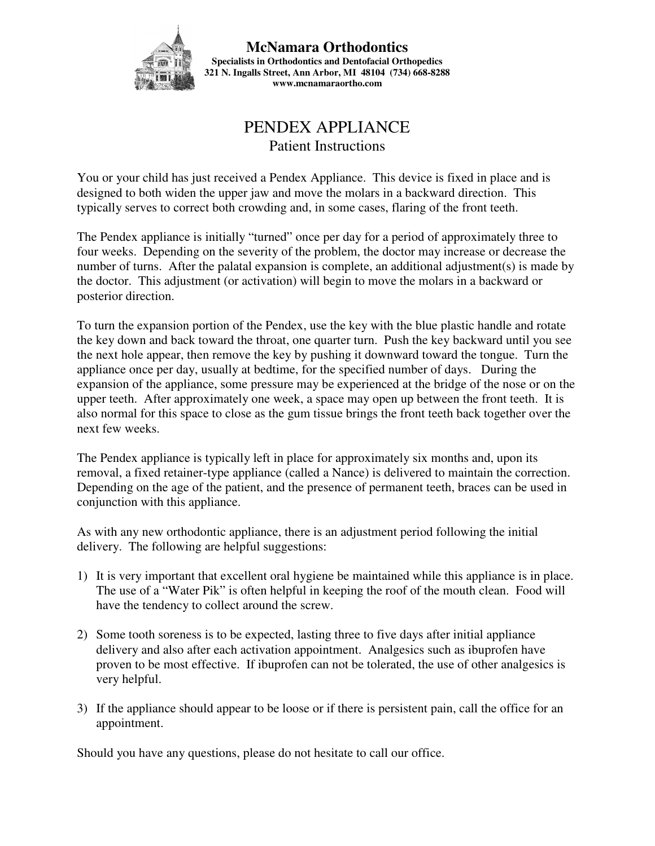

**McNamara Orthodontics Specialists in Orthodontics and Dentofacial Orthopedics 321 N. Ingalls Street, Ann Arbor, MI 48104 (734) 668-8288 www.mcnamaraortho.com** 

## PENDEX APPLIANCE Patient Instructions

You or your child has just received a Pendex Appliance. This device is fixed in place and is designed to both widen the upper jaw and move the molars in a backward direction. This typically serves to correct both crowding and, in some cases, flaring of the front teeth.

The Pendex appliance is initially "turned" once per day for a period of approximately three to four weeks. Depending on the severity of the problem, the doctor may increase or decrease the number of turns. After the palatal expansion is complete, an additional adjustment(s) is made by the doctor. This adjustment (or activation) will begin to move the molars in a backward or posterior direction.

To turn the expansion portion of the Pendex, use the key with the blue plastic handle and rotate the key down and back toward the throat, one quarter turn. Push the key backward until you see the next hole appear, then remove the key by pushing it downward toward the tongue. Turn the appliance once per day, usually at bedtime, for the specified number of days. During the expansion of the appliance, some pressure may be experienced at the bridge of the nose or on the upper teeth. After approximately one week, a space may open up between the front teeth. It is also normal for this space to close as the gum tissue brings the front teeth back together over the next few weeks.

The Pendex appliance is typically left in place for approximately six months and, upon its removal, a fixed retainer-type appliance (called a Nance) is delivered to maintain the correction. Depending on the age of the patient, and the presence of permanent teeth, braces can be used in conjunction with this appliance.

As with any new orthodontic appliance, there is an adjustment period following the initial delivery. The following are helpful suggestions:

- 1) It is very important that excellent oral hygiene be maintained while this appliance is in place. The use of a "Water Pik" is often helpful in keeping the roof of the mouth clean. Food will have the tendency to collect around the screw.
- 2) Some tooth soreness is to be expected, lasting three to five days after initial appliance delivery and also after each activation appointment. Analgesics such as ibuprofen have proven to be most effective. If ibuprofen can not be tolerated, the use of other analgesics is very helpful.
- 3) If the appliance should appear to be loose or if there is persistent pain, call the office for an appointment.

Should you have any questions, please do not hesitate to call our office.